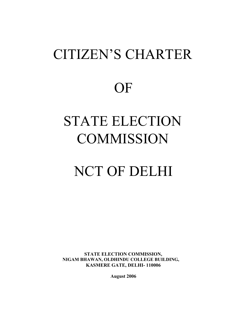# CITIZEN'S CHARTER **OF** STATE ELECTION **COMMISSION**

# NCT OF DELHI

**STATE ELECTION COMMISSION, NIGAM BHAWAN, OLDHINDU COLLEGE BUILDING, KASMERE GATE, DELHI- 110006** 

**August 2006**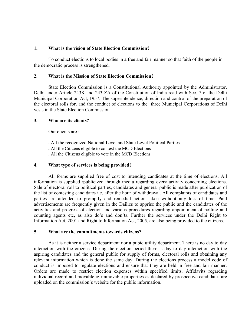#### **1. What is the vision of State Election Commission?**

To conduct elections to local bodies in a free and fair manner so that faith of the people in the democratic process is strengthened.

#### **2. What is the Mission of State Election Commission?**

 State Election Commission is a Constitutional Authority appointed by the Administrator, Delhi under Article 243K and 243 ZA of the Constitution of India read with Sec. 7 of the Delhi the electoral rolls for, and the conduct of elections to the three Municipal Corporations of Delhi Municipal Corporation Act, 1957. The superintendence, direction and control of the preparation of vests in the State Election Commission.

#### **3. Who are its clients?**

Our clients are :-

- **.** All the recognized National Level and State Level Political Parties
- **.** All the Citizens eligible to contest the MCD Elections
- **.** All the Citizens eligible to vote in the MCD Elections

#### **4. What type of services is being provided?**

 All forms are supplied free of cost to intending candidates at the time of elections. All information is supplied /publicized through media regarding every activity concerning elections. Sale of electoral roll to political parties, candidates and general public is made after publication of the list of contesting candidates i.e. after the hour of withdrawal. All complaints of candidates and parties are attended to promptly and remedial action taken without any loss of time. Paid advertisements are frequently given in the Dailies to apprise the public and the candidates of the activities and progress of election and various procedures regarding appointment of polling and counting agents etc, as also do's and don'ts. Further the services under the Delhi Right to Information Act, 2001 and Right to Information Act, 2005, are also being provided to the citizens.

#### **5. What are the commitments towards citizens?**

 As it is neither a service department nor a pubic utility department. There is no day to day interaction with the citizens. During the election period there is day to day interaction with the aspiring candidates and the general public for supply of forms, electoral rolls and obtaining any relevant information which is done the same day. During the elections process a model code of conduct is imposed to regulate elections and ensure that they are held in free and fair manner. Orders are made to restrict election expenses within specified limits. Affidavits regarding individual record and movable  $\&$  immovable properties as declared by prospective candidates are uploaded on the commission's website for the public information.